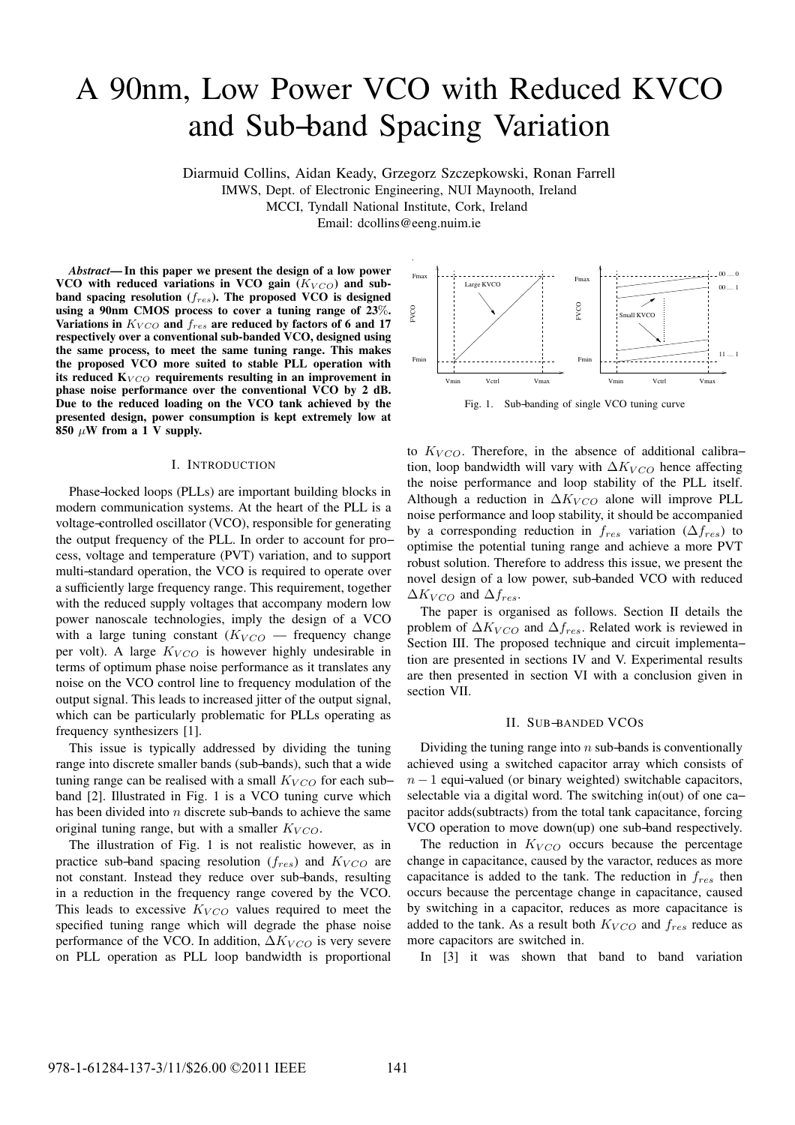# A 90nm, Low Power VCO with Reduced KVCO and Sub−band Spacing Variation

Diarmuid Collins, Aidan Keady, Grzegorz Szczepkowski, Ronan Farrell

IMWS, Dept. of Electronic Engineering, NUI Maynooth, Ireland

MCCI, Tyndall National Institute, Cork, Ireland

Email: dcollins@eeng.nuim.ie

*Abstract***— In this paper we present the design of a low power** VCO with reduced variations in VCO gain ( $K_{VCO}$ ) and sub**band spacing resolution (**fres**). The proposed VCO is designed using a 90nm CMOS process to cover a tuning range of 23**%**.** Variations in  $K_{VCO}$  and  $f_{res}$  are reduced by factors of 6 and 17 **respectively over a conventional sub-banded VCO, designed using the same process, to meet the same tuning range. This makes the proposed VCO more suited to stable PLL operation with** its reduced  $K_{VCO}$  requirements resulting in an improvement in **phase noise performance over the conventional VCO by 2 dB. Due to the reduced loading on the VCO tank achieved by the presented design, power consumption is kept extremely low at 850**  $\mu$ W from a 1 V supply.

## I. INTRODUCTION

Phase−locked loops (PLLs) are important building blocks in modern communication systems. At the heart of the PLL is a voltage−controlled oscillator (VCO), responsible for generating the output frequency of the PLL. In order to account for pro− cess, voltage and temperature (PVT) variation, and to support multi−standard operation, the VCO is required to operate over a sufficiently large frequency range. This requirement, together with the reduced supply voltages that accompany modern low power nanoscale technologies, imply the design of a VCO with a large tuning constant  $(K_{VCO})$  — frequency change per volt). A large  $K_{VCO}$  is however highly undesirable in terms of optimum phase noise performance as it translates any noise on the VCO control line to frequency modulation of the output signal. This leads to increased jitter of the output signal, which can be particularly problematic for PLLs operating as frequency synthesizers [1].

This issue is typically addressed by dividing the tuning range into discrete smaller bands (sub−bands), such that a wide tuning range can be realised with a small  $K_{VCO}$  for each sub– band [2]. Illustrated in Fig. 1 is a VCO tuning curve which has been divided into n discrete sub−bands to achieve the same original tuning range, but with a smaller  $K_{VCO}$ .

The illustration of Fig. 1 is not realistic however, as in practice sub–band spacing resolution  $(f_{res})$  and  $K_{VCO}$  are not constant. Instead they reduce over sub−bands, resulting in a reduction in the frequency range covered by the VCO. This leads to excessive  $K_{VCO}$  values required to meet the specified tuning range which will degrade the phase noise performance of the VCO. In addition,  $\Delta K_{VCO}$  is very severe on PLL operation as PLL loop bandwidth is proportional



Fig. 1. Sub−banding of single VCO tuning curve

to  $K_{VCO}$ . Therefore, in the absence of additional calibra– tion, loop bandwidth will vary with  $\Delta K_{VCO}$  hence affecting the noise performance and loop stability of the PLL itself. Although a reduction in  $\Delta K_{VCO}$  alone will improve PLL noise performance and loop stability, it should be accompanied by a corresponding reduction in  $f_{res}$  variation ( $\Delta f_{res}$ ) to optimise the potential tuning range and achieve a more PVT robust solution. Therefore to address this issue, we present the novel design of a low power, sub−banded VCO with reduced  $\Delta K_{VCO}$  and  $\Delta f_{res}$ .

The paper is organised as follows. Section II details the problem of  $\Delta K_{VCO}$  and  $\Delta f_{res}$ . Related work is reviewed in Section III. The proposed technique and circuit implementa− tion are presented in sections IV and V. Experimental results are then presented in section VI with a conclusion given in section VII.

## II. SUB−BANDED VCOS

Dividing the tuning range into  $n$  sub–bands is conventionally achieved using a switched capacitor array which consists of  $n - 1$  equi-valued (or binary weighted) switchable capacitors, selectable via a digital word. The switching in(out) of one ca− pacitor adds(subtracts) from the total tank capacitance, forcing VCO operation to move down(up) one sub−band respectively.

The reduction in  $K_{VCO}$  occurs because the percentage change in capacitance, caused by the varactor, reduces as more capacitance is added to the tank. The reduction in  $f_{res}$  then occurs because the percentage change in capacitance, caused by switching in a capacitor, reduces as more capacitance is added to the tank. As a result both  $K_{VCO}$  and  $f_{res}$  reduce as more capacitors are switched in.

In [3] it was shown that band to band variation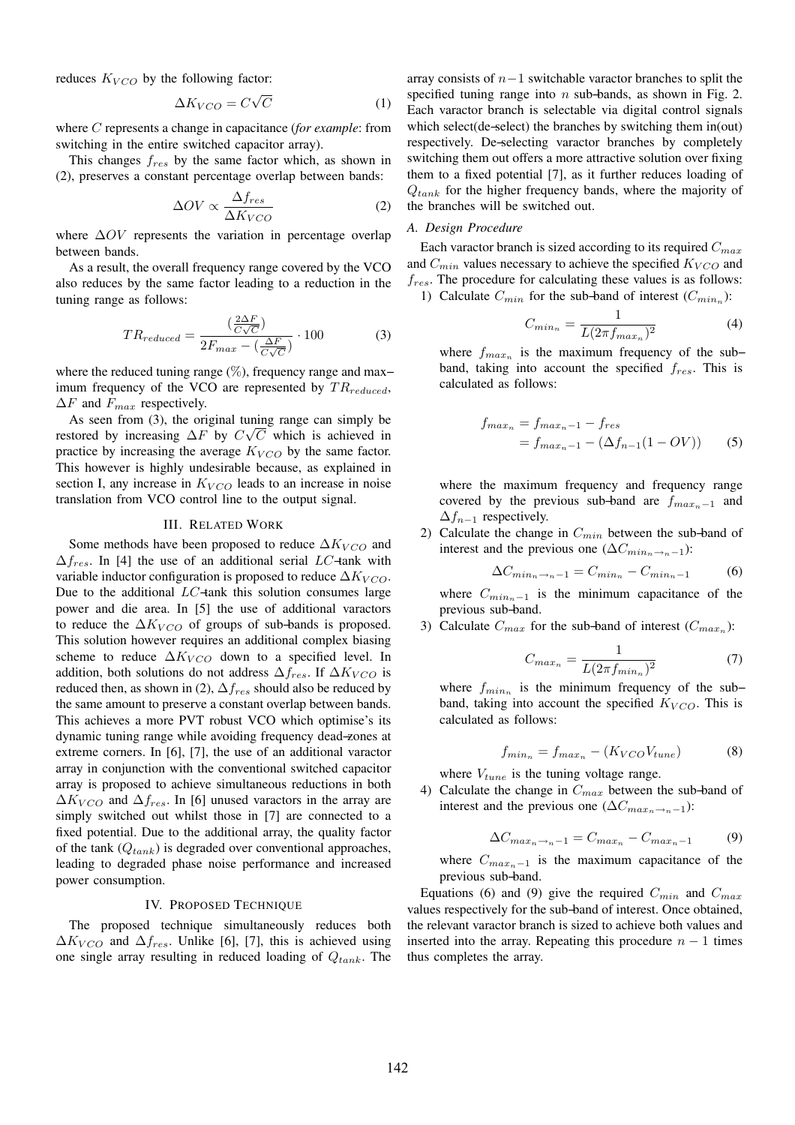reduces  $K_{VCO}$  by the following factor:

$$
\Delta K_{VCO} = C\sqrt{C} \tag{1}
$$

where C represents a change in capacitance (*for example*: from switching in the entire switched capacitor array).

This changes  $f_{res}$  by the same factor which, as shown in (2), preserves a constant percentage overlap between bands:

$$
\Delta OV \propto \frac{\Delta f_{res}}{\Delta K_{VCO}}\tag{2}
$$

where  $\Delta OV$  represents the variation in percentage overlap between bands.

As a result, the overall frequency range covered by the VCO also reduces by the same factor leading to a reduction in the tuning range as follows:

$$
TR_{reduced} = \frac{\left(\frac{2\Delta F}{C\sqrt{C}}\right)}{2F_{max} - \left(\frac{\Delta F}{C\sqrt{C}}\right)} \cdot 100\tag{3}
$$

where the reduced tuning range (%), frequency range and max– imum frequency of the VCO are represented by  $TR_{reduced}$ ,  $\Delta F$  and  $F_{max}$  respectively.

As seen from (3), the original tuning range can simply be restored by increasing  $\Delta F$  by  $C\sqrt{C}$  which is achieved in practice by increasing the average  $K_{VCO}$  by the same factor. This however is highly undesirable because, as explained in section I, any increase in  $K_{VCO}$  leads to an increase in noise translation from VCO control line to the output signal.

## III. RELATED WORK

Some methods have been proposed to reduce  $\Delta K_{VCO}$  and  $\Delta f_{res}$ . In [4] the use of an additional serial LC-tank with variable inductor configuration is proposed to reduce  $\Delta K_{VCO}$ . Due to the additional LC−tank this solution consumes large power and die area. In [5] the use of additional varactors to reduce the  $\Delta K_{VCO}$  of groups of sub-bands is proposed. This solution however requires an additional complex biasing scheme to reduce  $\Delta K_{VCO}$  down to a specified level. In addition, both solutions do not address  $\Delta f_{res}$ . If  $\Delta K_{VCO}$  is reduced then, as shown in (2),  $\Delta f_{res}$  should also be reduced by the same amount to preserve a constant overlap between bands. This achieves a more PVT robust VCO which optimise's its dynamic tuning range while avoiding frequency dead−zones at extreme corners. In [6], [7], the use of an additional varactor array in conjunction with the conventional switched capacitor array is proposed to achieve simultaneous reductions in both  $\Delta K_{VCO}$  and  $\Delta f_{res}$ . In [6] unused varactors in the array are simply switched out whilst those in [7] are connected to a fixed potential. Due to the additional array, the quality factor of the tank  $(Q_{tank})$  is degraded over conventional approaches, leading to degraded phase noise performance and increased power consumption.

### IV. PROPOSED TECHNIQUE

The proposed technique simultaneously reduces both  $\Delta K_{VCO}$  and  $\Delta f_{res}$ . Unlike [6], [7], this is achieved using one single array resulting in reduced loading of  $Q_{tank}$ . The

array consists of  $n-1$  switchable varactor branches to split the specified tuning range into *n* sub-bands, as shown in Fig. 2. Each varactor branch is selectable via digital control signals which select(de−select) the branches by switching them in(out) respectively. De−selecting varactor branches by completely switching them out offers a more attractive solution over fixing them to a fixed potential [7], as it further reduces loading of  $Q_{tank}$  for the higher frequency bands, where the majority of the branches will be switched out.

# *A. Design Procedure*

Each varactor branch is sized according to its required  $C_{max}$ and  $C_{min}$  values necessary to achieve the specified  $K_{VCO}$  and  $f_{res}$ . The procedure for calculating these values is as follows:

1) Calculate  $C_{min}$  for the sub-band of interest  $(C_{min_n})$ :

$$
C_{min_n} = \frac{1}{L(2\pi f_{max_n})^2} \tag{4}
$$

where  $f_{max_n}$  is the maximum frequency of the sub– band, taking into account the specified  $f_{res}$ . This is calculated as follows:

$$
f_{max_n} = f_{max_n - 1} - f_{res}
$$
  
=  $f_{max_n - 1} - (\Delta f_{n-1}(1 - OV))$  (5)

where the maximum frequency and frequency range covered by the previous sub-band are  $f_{maxn-1}$  and  $\Delta f_{n-1}$  respectively.

2) Calculate the change in  $C_{min}$  between the sub-band of interest and the previous one  $(\Delta C_{min_n \rightarrow n-1})$ :

$$
\Delta C_{\min_n \to n-1} = C_{\min_n} - C_{\min_n - 1} \tag{6}
$$

where  $C_{min_{n-1}}$  is the minimum capacitance of the previous sub−band.

3) Calculate  $C_{max}$  for the sub-band of interest  $(C_{max})$ :

$$
C_{max_n} = \frac{1}{L(2\pi f_{min_n})^2} \tag{7}
$$

where  $f_{min_n}$  is the minimum frequency of the sub– band, taking into account the specified  $K_{VCO}$ . This is calculated as follows:

$$
f_{min_n} = f_{max_n} - (K_{VCO} V_{tune}) \tag{8}
$$

where  $V_{tune}$  is the tuning voltage range.

4) Calculate the change in  $C_{max}$  between the sub-band of interest and the previous one ( $\Delta C_{max_n \to n-1}$ ):

$$
\Delta C_{max_n \to n-1} = C_{max_n} - C_{max_n - 1} \tag{9}
$$

where  $C_{max_n-1}$  is the maximum capacitance of the previous sub−band.

Equations (6) and (9) give the required  $C_{min}$  and  $C_{max}$ values respectively for the sub−band of interest. Once obtained, the relevant varactor branch is sized to achieve both values and inserted into the array. Repeating this procedure  $n - 1$  times thus completes the array.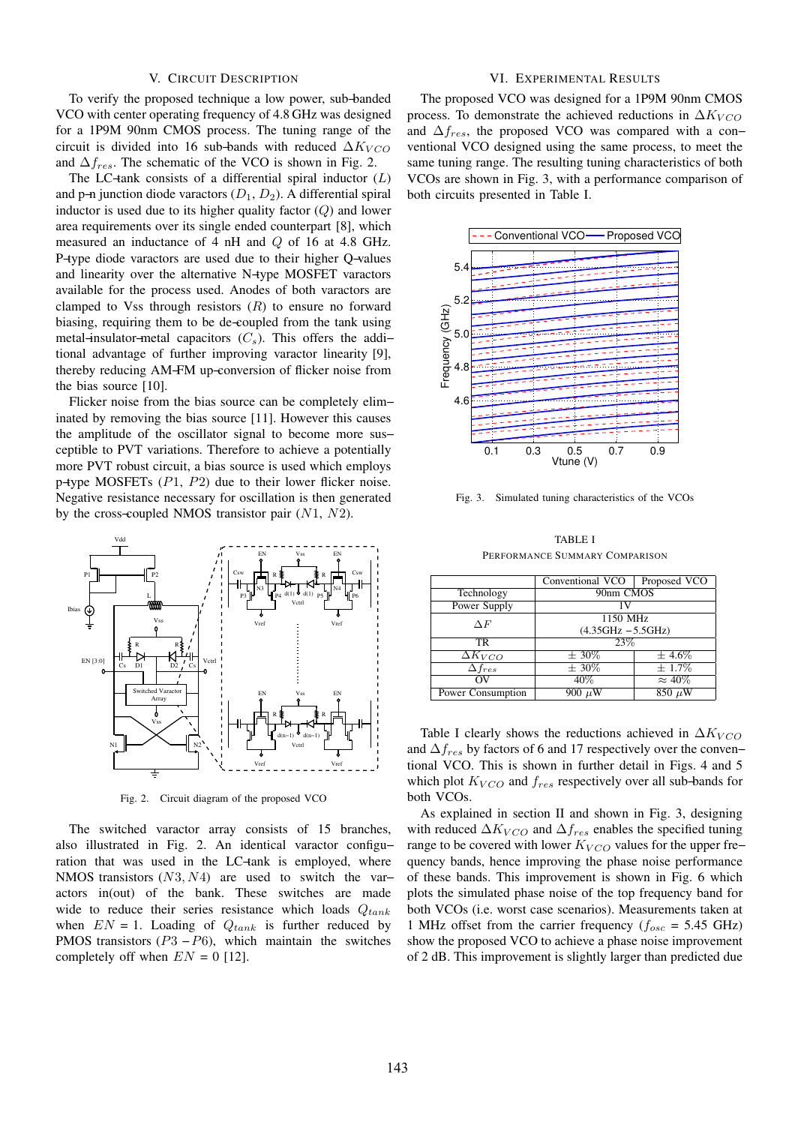# V. CIRCUIT DESCRIPTION

To verify the proposed technique a low power, sub−banded VCO with center operating frequency of 4.8 GHz was designed for a 1P9M 90nm CMOS process. The tuning range of the circuit is divided into 16 sub-bands with reduced  $\Delta K_{VCO}$ and  $\Delta f_{res}$ . The schematic of the VCO is shown in Fig. 2.

The LC-tank consists of a differential spiral inductor  $(L)$ and p–n junction diode varactors  $(D_1, D_2)$ . A differential spiral inductor is used due to its higher quality factor  $(Q)$  and lower area requirements over its single ended counterpart [8], which measured an inductance of 4 nH and Q of 16 at 4.8 GHz. P−type diode varactors are used due to their higher Q−values and linearity over the alternative N−type MOSFET varactors available for the process used. Anodes of both varactors are clamped to Vss through resistors  $(R)$  to ensure no forward biasing, requiring them to be de−coupled from the tank using metal–insulator–metal capacitors  $(C_s)$ . This offers the addi– tional advantage of further improving varactor linearity [9], thereby reducing AM−FM up−conversion of flicker noise from the bias source [10].

Flicker noise from the bias source can be completely elim− inated by removing the bias source [11]. However this causes the amplitude of the oscillator signal to become more sus− ceptible to PVT variations. Therefore to achieve a potentially more PVT robust circuit, a bias source is used which employs p−type MOSFETs (P1, P2) due to their lower flicker noise. Negative resistance necessary for oscillation is then generated by the cross-coupled NMOS transistor pair  $(N1, N2)$ .



Fig. 2. Circuit diagram of the proposed VCO

The switched varactor array consists of 15 branches, also illustrated in Fig. 2. An identical varactor configu− ration that was used in the LC−tank is employed, where NMOS transistors (N3, N4) are used to switch the varactors in(out) of the bank. These switches are made wide to reduce their series resistance which loads  $Q_{tank}$ when  $EN = 1$ . Loading of  $Q_{tank}$  is further reduced by PMOS transistors ( $P3 - P6$ ), which maintain the switches completely off when  $EN = 0$  [12].

# VI. EXPERIMENTAL RESULTS

The proposed VCO was designed for a 1P9M 90nm CMOS process. To demonstrate the achieved reductions in  $\Delta K_{VCO}$ and  $\Delta f_{res}$ , the proposed VCO was compared with a conventional VCO designed using the same process, to meet the same tuning range. The resulting tuning characteristics of both VCOs are shown in Fig. 3, with a performance comparison of both circuits presented in Table I.



Fig. 3. Simulated tuning characteristics of the VCOs

| TABLE I                        |
|--------------------------------|
| PERFORMANCE SUMMARY COMPARISON |

|                             | Conventional VCO     | Proposed VCO   |  |  |
|-----------------------------|----------------------|----------------|--|--|
| Technology                  | 90nm CMOS            |                |  |  |
| Power Supply                | 1 V                  |                |  |  |
| ΛF                          | 1150 MHz             |                |  |  |
|                             | $(4.35GHz - 5.5GHz)$ |                |  |  |
| TR.                         | 23\%                 |                |  |  |
| $\Delta K_{VCO}$            | $\pm 30\%$           | $\pm 4.6\%$    |  |  |
| $\overline{\Delta f_{res}}$ | $\pm 30\%$           | $\pm 1.7\%$    |  |  |
| ΩV                          | $40\%$               | $\approx 40\%$ |  |  |
| Power Consumption           | 900 $\mu$ W          | $850 \mu W$    |  |  |

Table I clearly shows the reductions achieved in  $\Delta K_{VCO}$ and  $\Delta f_{res}$  by factors of 6 and 17 respectively over the conven− tional VCO. This is shown in further detail in Figs. 4 and 5 which plot  $K_{VCO}$  and  $f_{res}$  respectively over all sub-bands for both VCOs.

As explained in section II and shown in Fig. 3, designing with reduced  $\Delta K_{VCO}$  and  $\Delta f_{res}$  enables the specified tuning range to be covered with lower  $K_{VCO}$  values for the upper fre− quency bands, hence improving the phase noise performance of these bands. This improvement is shown in Fig. 6 which plots the simulated phase noise of the top frequency band for both VCOs (i.e. worst case scenarios). Measurements taken at 1 MHz offset from the carrier frequency ( $f_{osc}$  = 5.45 GHz) show the proposed VCO to achieve a phase noise improvement of 2 dB. This improvement is slightly larger than predicted due